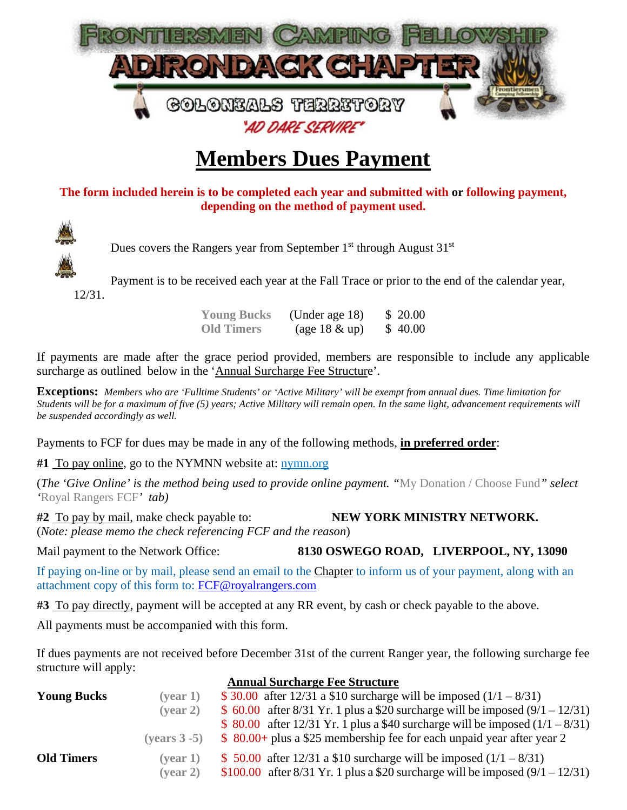

## **Members Dues Payment**

## **The form included herein is to be completed each year and submitted with or following payment, depending on the method of payment used.**



Dues covers the Rangers year from September  $1<sup>st</sup>$  through August  $31<sup>st</sup>$ 

Payment is to be received each year at the Fall Trace or prior to the end of the calendar year,

12/31.

| <b>Young Bucks</b> | (Under age 18)                  | \$20.00 |
|--------------------|---------------------------------|---------|
| <b>Old Timers</b>  | $(\text{age } 18 \& \text{up})$ | \$40.00 |

If payments are made after the grace period provided, members are responsible to include any applicable surcharge as outlined below in the 'Annual Surcharge Fee Structure'.

**Exceptions:** *Members who are 'Fulltime Students' or 'Active Military' will be exempt from annual dues. Time limitation for Students will be for a maximum of five (5) years; Active Military will remain open. In the same light, advancement requirements will be suspended accordingly as well.*

Payments to FCF for dues may be made in any of the following methods, **in preferred order**:

**#1** To pay online, go to the NYMNN website at: [nymn.org](https://www.shelbygiving.com/App/Giving/nyministry) 

(*The 'Give Online' is the method being used to provide online payment. "*My Donation / Choose Fund*" select '*Royal Rangers FCF*' tab)*

**#2** To pay by mail, make check payable to: **NEW YORK MINISTRY NETWORK.** (*Note: please memo the check referencing FCF and the reason*)

Mail payment to the Network Office: **8130 OSWEGO ROAD, LIVERPOOL, NY, 13090** 

If paying on-line or by mail, please send an email to the Chapter to inform us of your payment, along with an attachment copy of this form to: [FCF@royalrangers.com](mailto:fcf@nyroyalrangers.org)

**#3** To pay directly, payment will be accepted at any RR event, by cash or check payable to the above.

All payments must be accompanied with this form.

If dues payments are not received before December 31st of the current Ranger year, the following surcharge fee structure will apply: **Annual Surcharge Fee Structure**

| Annual Surcharge Fee Structure         |                                      |                                                                                 |  |
|----------------------------------------|--------------------------------------|---------------------------------------------------------------------------------|--|
| <b>Young Bucks</b><br>$\left($ year 1) |                                      | \$30.00 after 12/31 a \$10 surcharge will be imposed $(1/1 - 8/31)$             |  |
|                                        | (year 2)                             | \$ 60.00 after 8/31 Yr. 1 plus a \$20 surcharge will be imposed $(9/1 - 12/31)$ |  |
|                                        |                                      | \$ 80.00 after 12/31 Yr. 1 plus a \$40 surcharge will be imposed $(1/1 – 8/31)$ |  |
|                                        | $\left( \text{years } 3 - 5 \right)$ | \$ 80.00+ plus a \$25 membership fee for each unpaid year after year 2          |  |
| <b>Old Timers</b>                      | $\left($ year 1)                     | \$ 50.00 after 12/31 a \$10 surcharge will be imposed $(1/1 – 8/31)$            |  |
|                                        | (year 2)                             | \$100.00 after 8/31 Yr. 1 plus a \$20 surcharge will be imposed $(9/1 – 12/31)$ |  |